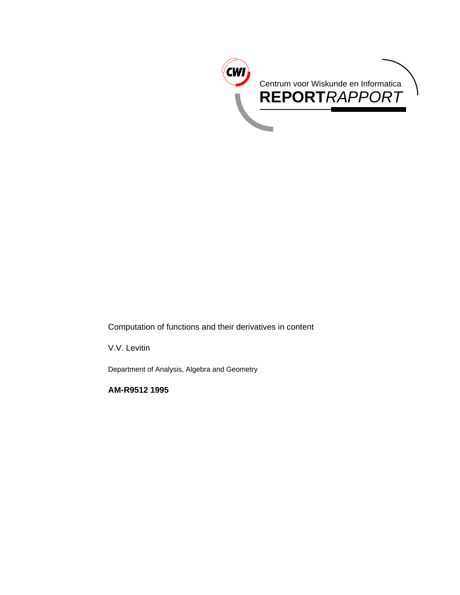

Computation of functions and their derivatives in content

V.V. Levitin

Department of Analysis, Algebra and Geometry

**AM-R9512 1995**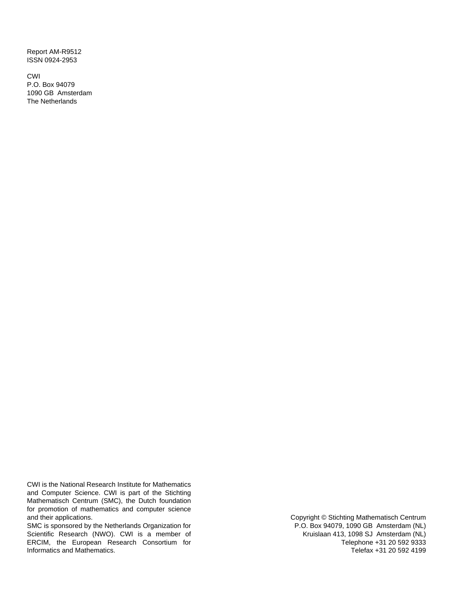Report AM-R9512 ISSN 0924-2953

CWI P.O. Box 94079 1090 GB Amsterdam The Netherlands

CWI is the National Research Institute for Mathematics and Computer Science. CWI is part of the Stichting Mathematisch Centrum (SMC), the Dutch foundation for promotion of mathematics and computer science and their applications.

SMC is sponsored by the Netherlands Organization for Scientific Research (NWO). CWI is a member of ERCIM, the European Research Consortium for Informatics and Mathematics.

Copyright © Stichting Mathematisch Centrum P.O. Box 94079, 1090 GB Amsterdam (NL) Kruislaan 413, 1098 SJ Amsterdam (NL) Telephone +31 20 592 9333 Telefax +31 20 592 4199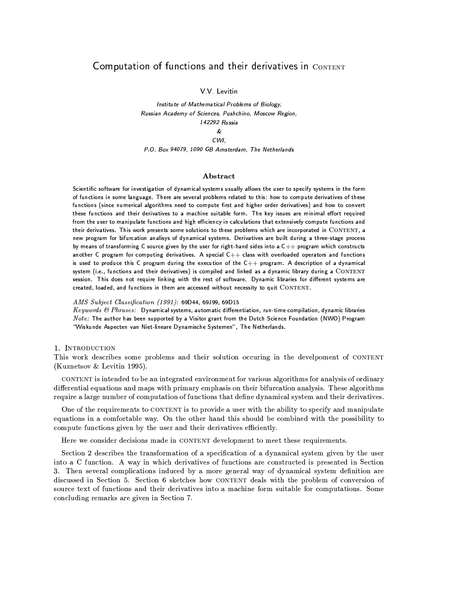# Computation of functions and their derivatives in CONTENT

V V Levitin

Institute of Mathematical Problems of Biology, Russian Academy of Sciences, Pushchino, Moscow Region, 142292 Russia  $\boldsymbol{\ell}$ CWI,

P.O. Box 94079, 1090 GB Amsterdam, The Netherlands

#### Abstract

Scientific software for investigation of dynamical systems usually allows the user to specify systems in the form of functions in some language. There are several problems related to this: how to compute derivatives of these functions (since numerical algorithms need to compute first and higher order derivatives) and how to convert these functions and their derivatives to a machine suitable form. The key issues are minimal effort required from the user to manipulate functions and high efficiency in calculations that extensively compute functions and their derivatives. This work presents some solutions to these problems which are incorporated in CONTENT, a new program for bifurcation analisys of dynamical systems. Derivatives are built during a three-stage process by means of transforming C source given by the user for right-hand sides into a C++ program which constructs another C program for computing derivatives. A special C++ class with overloaded operators and functions is used to produce this C program during the execution of the C++ program. A description of a dynamical system (i.e., functions and their derivatives) is compiled and linked as a dynamic library during a CONTENT session. This does not require linking with the rest of software. Dynamic libraries for different systems are created, loaded, and functions in them are accessed without necessity to quit CONTENT.

# AMS Subject Classification (1991): 69D44, 69J99, 69D15

 $Keywords$  &  $Phrases$ : Dynamical systems, automatic differentiation, run-time compilation, dynamic libraries  $Note:$  The author has been supported by a Visitor grant from the Dutch Science Foundation (NWO) Program "Wiskunde Aspecten van Niet-lineare Dynamische Systemen", The Netherlands.

# 1. INTRODUCTION

This work describes some problems and their solution occuring in the develpoment of CONTENT (Kuznetsov & Levitin 1995).

CONTENT is intended to be an integrated environment for various algorithms for analysis of ordinary differential equations and maps with primary emphasis on their bifurcation analysis. These algorithms require a large number of computation of functions that define dynamical system and their derivatives.

One of the requirements to CONTENT is to provide a user with the ability to specify and manipulate equations in a comfortable way. On the other hand this should be combined with the possibility to compute functions given by the user and their derivatives efficiently.

Here we consider decisions made in CONTENT development to meet these requirements.

Section 2 describes the transformation of a specification of a dynamical system given by the user into a C function. A way in which derivatives of functions are constructed is presented in Section 3. Then several complications induced by a more general way of dynamical system definition are discussed in Section 5. Section 6 sketches how CONTENT deals with the problem of conversion of source text of functions and their derivatives into a machine form suitable for computations. Some concluding remarks are given in Section 7.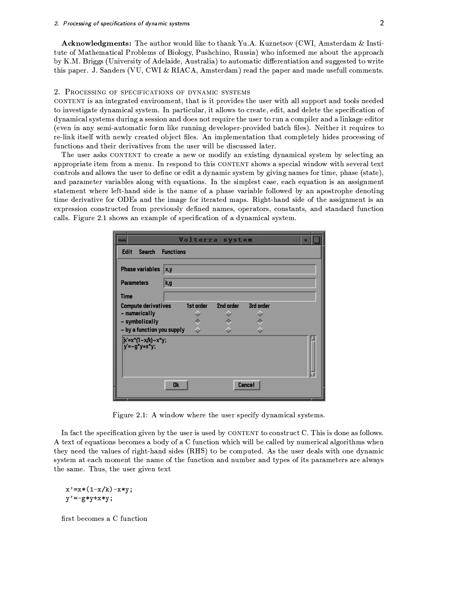**Acknowledgments:** The author would like to thank Yu.A. Kuznetsov (CWI, Amsterdam & Institute of Mathematical Problems of Biology, Pushchino, Russia) who informed me about the approach by K.M. Briggs (University of Adelaide, Australia) to automatic differentiation and suggested to write this paper. J. Sanders (VU, CWI & RIACA, Amsterdam) read the paper and made usefull comments.

#### 2. PROCESSING OF SPECIFICATIONS OF DYNAMIC SYSTEMS

CONTENT is an integrated environment, that is it provides the user with all support and tools needed to investigate dynamical system. In particular, it allows to create, edit, and delete the specification of dynamical systems during a session and does not require the user to run a compiler and a linkage editor (even in any semi-automatic form like running developer-provided batch files). Neither it requires to re-link itself with newly created object files. An implementation that completely hides processing of functions and their derivatives from the user will be discussed later.

The user asks CONTENT to create a new or modify an existing dynamical system by selecting an appropriate item from a menu. In respond to this CONTENT shows a special window with several text controls and allows the user to define or edit a dynamic system by giving names for time, phase (state), and parameter variables along with equations. In the simplest case, each equation is an assignment statement where left-hand side is the name of a phase variable followed by an apostrophe denoting time derivative for ODEs and the image for iterated maps. Right-hand side of the assignment is an expression constructed from previously defined names, operators, constants, and standard function calls. Figure 2.1 shows an example of specification of a dynamical system.

|                                                                                             | Volterra system<br>o                |  |
|---------------------------------------------------------------------------------------------|-------------------------------------|--|
| <b>Edit</b><br><b>Search</b><br><b>Functions</b>                                            |                                     |  |
| <b>Phase variables</b>                                                                      | X,y                                 |  |
| <b>Parameters</b>                                                                           | k,g                                 |  |
| <b>Time</b>                                                                                 |                                     |  |
| <b>Compute derivatives</b><br>- numerically<br>- symbolically<br>- by a function you supply | 1st order<br>2nd order<br>3rd order |  |
| [k'=x*(1-x/k)-x*y;<br>y'=-g*y+x*y;                                                          |                                     |  |
| Cancel<br>Ok                                                                                |                                     |  |

Figure 2.1: A window where the user specify dynamical systems.

In fact the specification given by the user is used by CONTENT to construct C. This is done as follows. A text of equations becomes a body of a C function which will be called by numerical algorithms when they need the values of right-hand sides (RHS) to be computed. As the user deals with one dynamic system at each moment the name of the function and number and types of its parameters are always the same. Thus, the user given text

 $x' = x * (1 - x/k) - x * y;$  $y' = -g*y+xy;$ 

first becomes a C function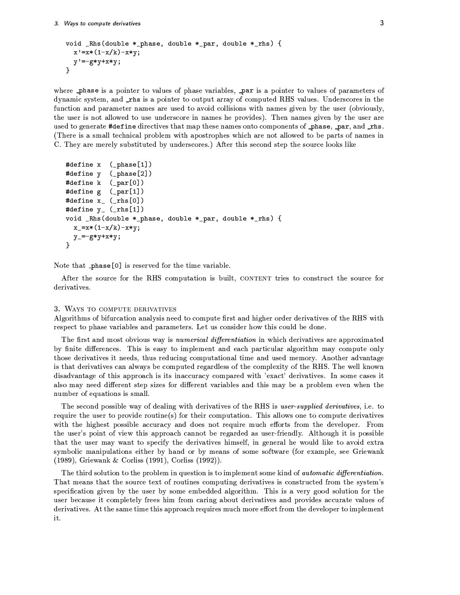```
void _Rhs(double *_phase, double *_par, double *_rhs) {
  x' = x * (1-x/k) - x * y;y' = -g*y+xy;}
```
where \_phase is a pointer to values of phase variables, \_par is a pointer to values of parameters of dynamic system, and \_rhs is a pointer to output array of computed RHS values. Underscores in the function and parameter names are used to avoid collisions with names given by the user (obviously, the user is not allowed to use underscore in names he provides). Then names given by the user are used to generate #define directives that map these names onto components of \_phase, \_par, and \_rhs. (There is a small technical problem with apostrophes which are not allowed to be parts of names in C. They are merely substituted by underscores.) After this second step the source looks like

```
#define x (_phase[1])
#define y
            (\_phase[2])#define k (_par[0])
#define g (_par[1])
#define x_{-} (\mathsf{rhs}[0])
#define y_ (_rhs[1])
void _Rhs(double *_phase, double *_par, double *_rhs) {
  x_-=x*(1-x/k)-x*y;y = -gx + y + x * y;}
```
Note that phase<sup>[0]</sup> is reserved for the time variable.

After the source for the RHS computation is built, CONTENT tries to construct the source for derivatives.

## 3. WAYS TO COMPUTE DERIVATIVES

Algorithms of bifurcation analysis need to compute first and higher order derivatives of the RHS with respect to phase variables and parameters. Let us consider how this could be done.

The first and most obvious way is numerical differentiation in which derivatives are approximated by finite differences. This is easy to implement and each particular algorithm may compute only those derivatives it needs, thus reducing computational time and used memory. Another advantage is that derivatives can always be computed regardless of the complexity of the RHS. The well known disadvantage of this approach is its inaccuracy compared with 'exact' derivatives. In some cases it also may need different step sizes for different variables and this may be a problem even when the number of equations is small.

The second possible way of dealing with derivatives of the RHS is user-supplied derivatives, i.e. to require the user to provide routine(s) for their computation. This allows one to compute derivatives with the highest possible accuracy and does not require much efforts from the developer. From the user's point of view this approach cannot be regarded as user-friendly. Although it is possible that the user may want to specify the derivatives himself, in general he would like to avoid extra symbolic manipulations either by hand or by means of some software (for example, see Griewank  $(1989)$ , Griewank & Corliss (1991), Corliss (1992)).

The third solution to the problem in question is to implement some kind of *automatic differentiation*. That means that the source text of routines computing derivatives is constructed from the system's specification given by the user by some embedded algorithm. This is a very good solution for the user because it completely frees him from caring about derivatives and provides accurate values of derivatives. At the same time this approach requires much more effort from the developer to implement it.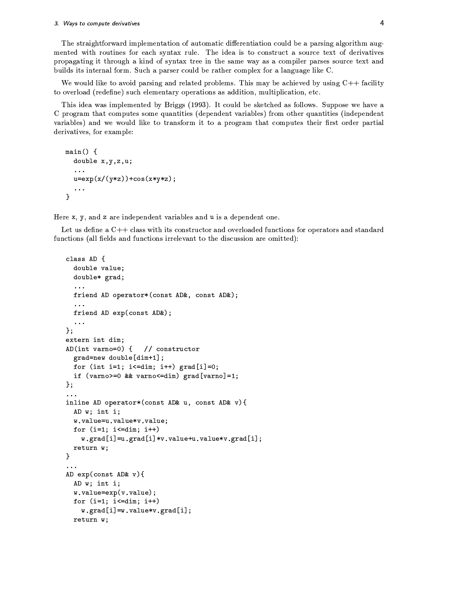#### 3. Ways to compute derivatives

The straightforward implementation of automatic differentiation could be a parsing algorithm augmented with routines for each syntax rule. The idea is to construct a source text of derivatives propagating it through a kind of syntax tree in the same way as a compiler parses source text and builds its internal form. Such a parser could be rather complex for a language like C.

We would like to avoid parsing and related problems. This may be achieved by using  $C++$  facility to overload (redefine) such elementary operations as addition, multiplication, etc.

This idea was implemented by Briggs (1993). It could be sketched as follows. Suppose we have a C program that computes some quantities (dependent variables) from other quantities (independent variables) and we would like to transform it to a program that computes their first order partial derivatives, for example:

```
main() \{double x, y, z, u;
  \ldotsu=exp(x/(y*z)) + cos(x*yz);\mathbf{r}
```
Here x, y, and z are independent variables and u is a dependent one.

Let us define a  $C_{++}$  class with its constructor and overloaded functions for operators and standard functions (all fields and functions irrelevant to the discussion are omitted):

```
class AD {
  double value;
  double* grad;
  \sim \sim \simfriend AD operator*(const AD&, const AD&);
  \ddotscfriend AD exp(const AD&);
  \ldots};
extern int dim;
AD(int varno=0) \{// constructor
  grad=new double[dim+1];
  for (int i=1; i <= dim; i++) \text{grad}[i] = 0;
  if (varno>=0 && varno <= dim) grad [varno] = 1;
\};
inline AD operator* (const AD& u, const AD& v) {
  AD w; int i;
  w.value=u.value*v.value;
  for (i=1; i<=dim; i++)w.grad[i]=u.grad[i]*v.value+u.value*v.grad[i];
  return w;
\mathcal{F}\sim \sim \simAD exp(const AD& v){
  AD w; int i;
  w.value=exp(v.value);
  for (i=1; i<=dim; i++)w.\text{grad}[i] = w.\text{value} * v.\text{grad}[i];return w;
```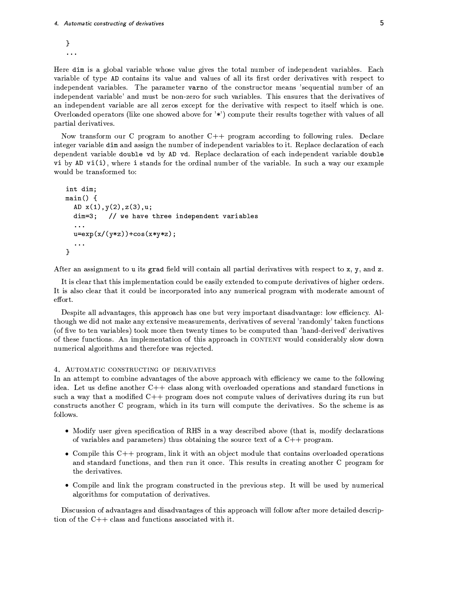```
}
\ddot{\phantom{a}}
```
Here dim is a global variable whose value gives the total number of independent variables. Each variable of type AD contains its value and values of all its first order derivatives with respect to independent variables. The parameter varno of the constructor means 'sequential number of an independent variable' and must be non-zero for such variables. This ensures that the derivatives of an independent variable are all zeros except for the derivative with respect to itself which is one. Overloaded operators (like one showed above for '\*') compute their results together with values of all partial derivatives.

Now transform our C program to another  $C++$  program according to following rules. Declare integer variable dim and assign the number of independent variables to it. Replace declaration of each dependent variable double vd by AD vd. Replace declaration of each independent variable double vi by AD vi(i), where i stands for the ordinal number of the variable. In such a way our example would be transformed to:

```
int dim;
main() fAD x(1), y(2), z(3), u;
  dim=3; // we have three independent variables
  \ddotsu=exp(x/(y*z))+cos(x*yz);\mathbf{r}
```
After an assignment to u its grad field will contain all partial derivatives with respect to x, y, and z.

It is clear that this implementation could be easily extended to compute derivatives of higher orders. It is also clear that it could be incorporated into any numerical program with moderate amount of effort.

Despite all advantages, this approach has one but very important disadvantage: low efficiency. Although we did not make any extensive measurements, derivatives of several 'randomly' taken functions (of five to ten variables) took more then twenty times to be computed than 'hand-derived' derivatives of these functions. An implementation of this approach in CONTENT would considerably slow down numerical algorithms and therefore was rejected.

# 4. AUTOMATIC CONSTRUCTING OF DERIVATIVES

In an attempt to combine advantages of the above approach with efficiency we came to the following idea. Let us define another  $C++$  class along with overloaded operations and standard functions in such a way that a modified C++ program does not compute values of derivatives during its run but constructs another C program, which in its turn will compute the derivatives. So the scheme is as follows.

- Modify user given specification of RHS in a way described above (that is, modify declarations of variables and parameters) thus obtaining the source text of a  $C_{+}$  program.
- Compile this  $C++$  program, link it with an object module that contains overloaded operations and standard functions, and then run it once. This results in creating another C program for the derivatives.
- Compile and link the program constructed in the previous step. It will be used by numerical algorithms for computation of derivatives.

Discussion of advantages and disadvantages of this approach will follow after more detailed description of the  $C++$  class and functions associated with it.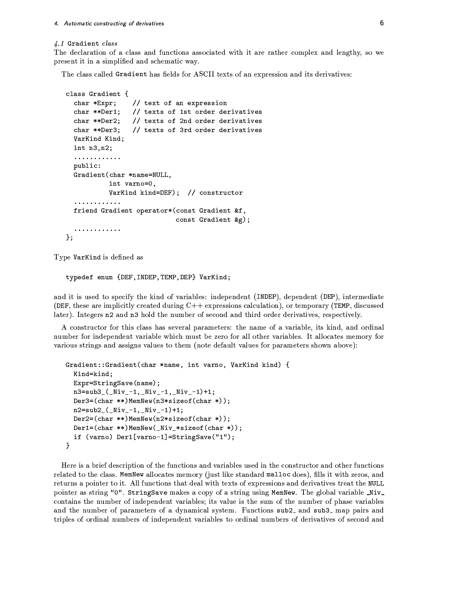#### 4.1 Gradient class

The declaration of a class and functions associated with it are rather complex and lengthy, so we present it in a simplified and schematic way.

The class called Gradient has fields for ASCII texts of an expression and its derivatives:

```
class Gradient {
                 // text of an expression
  char *Expr;
  char **Der1;
                // texts of 1st order derivatives
  char **Der2; // texts of 2nd order derivatives
  char **Der3; // texts of 3rd order derivatives
  VarKind Kind;
  int n3, n2;. . . . . . . . . . . .
  public:
  Gradient (char *name=NULL,
           int varno=0,
           VarKind kind=DEF); // constructor
  . . . . . . . . . . . .
  friend Gradient operator* (const Gradient &f,
                              const Gradient &g);
  . . . . . . . . . . . .
\} ;
```
Type VarKind is defined as

```
typedef enum {DEF, INDEP, TEMP, DEP} VarKind;
```
and it is used to specify the kind of variables: independent (INDEP), dependent (DEP), intermediate (DEF, these are implicitly created during C++ expressions calculation), or temporary (TEMP, discussed later). Integers n2 and n3 hold the number of second and third order derivatives, respectively.

A constructor for this class has several parameters: the name of a variable, its kind, and ordinal number for independent variable which must be zero for all other variables. It allocates memory for various strings and assigns values to them (note default values for parameters shown above):

```
Gradient::Gradient(char *name, int varno, VarKind kind) {
  Kind=kind;
  Expr=StringSave(name);
  n3=sub3_(_Niv_-1,_Niv_-1,_Niv_-1)+1;
  Der3 = (char **MemNew(n3*sizeof(char*)));n2 = sub2 (Niv - 1, Niv - 1) + 1;Der2=(char **MemNew(n2*sizeof(char *));Der1=(char **MemNew(\n_kiv-*sizeof(char*)));if (varno) Der1[varno-1]=StringSave("1");
}
```
Here is a brief description of the functions and variables used in the constructor and other functions related to the class. MemNew allocates memory (just like standard malloc does), fills it with zeros, and returns a pointer to it. All functions that deal with texts of expressions and derivatives treat the NULL pointer as string "0". StringSave makes a copy of a string using MemNew. The global variable \_Niv\_ contains the number of independent variables; its value is the sum of the number of phase variables and the number of parameters of a dynamical system. Functions sub2\_ and sub3\_ map pairs and triples of ordinal numbers of independent variables to ordinal numbers of derivatives of second and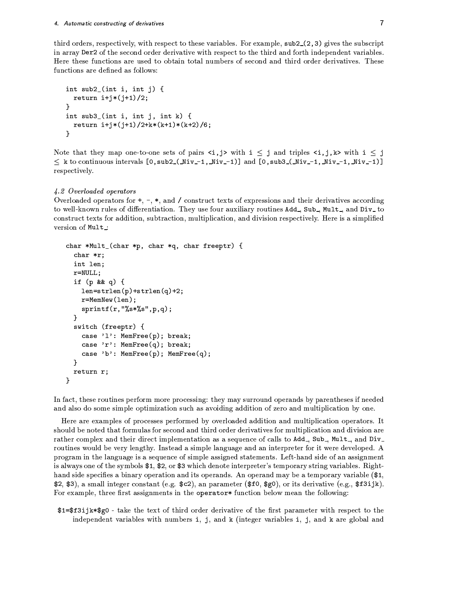third orders, respectively, with respect to these variables. For example,  $sub2(2,3)$  gives the subscript in array Der2 of the second order derivative with respect to the third and forth independent variables. Here these functions are used to obtain total numbers of second and third order derivatives. These functions are defined as follows:

```
int sub2_(int i, int j) {
 return i+j*(j+1)/2;
ł
int sub3_(int i, int j, int k) {
 return i+j*(j+1)/2+k*(k+1)*(k+2)/6;J.
```
Note that they map one-to-one sets of pairs  $\langle i, j \rangle$  with  $i \leq j$  and triples  $\langle i, j, k \rangle$  with  $i \leq j$  $\leq$  k to continuous intervals  $[0, sub2(-Niv-1, Niv-1)]$  and  $[0, sub3(-Niv-1, Niv-1, Niv-1)]$ respectively.

# 4.2 Overloaded operators

Overloaded operators for  $+$ ,  $-$ ,  $*$ , and / construct texts of expressions and their derivatives according to well-known rules of differentiation. They use four auxiliary routines Add., Sub., Mult., and Div. to construct texts for addition, subtraction, multiplication, and division respectively. Here is a simplified version of Mult:

```
char *Mult_(char *p, char *q, char freeptr) {
  char *r;
  int len;
  r = NULL;if (p \& k \neq 0) {
    len=strlen(p)+strlen(q)+2;r = MemNew(len);
    spring(r, "Xs*.s", p, q);\mathbf{r}switch (freeptr) {
    case '1': MemFree(p); break;
    case 'r': MemFree(q); break;
    case 'b': MemFree(p); MemFree(q);
  }
  return r;
}
```
In fact, these routines perform more processing: they may surround operands by parentheses if needed and also do some simple optimization such as avoiding addition of zero and multiplication by one.

Here are examples of processes performed by overloaded addition and multiplication operators. It should be noted that formulas for second and third order derivatives for multiplication and division are rather complex and their direct implementation as a sequence of calls to Add\_, Sub\_, Mult\_, and Div\_ routines would be very lengthy. Instead a simple language and an interpreter for it were developed. A program in the language is a sequence of simple assigned statements. Left-hand side of an assignment is always one of the symbols \$1, \$2, or \$3 which denote interpreter's temporary string variables. Righthand side specifies a binary operation and its operands. An operand may be a temporary variable (\$1, \$2, \$3), a small integer constant (e.g.  $(c2)$ , an parameter (\$10, \$g0), or its derivative (e.g., \$13ijk). For example, three first assignments in the operator\* function below mean the following:

 $$1=\$f3ijk*\$g0$  - take the text of third order derivative of the first parameter with respect to the independent variables with numbers i, j, and k (integer variables i, j, and k are global and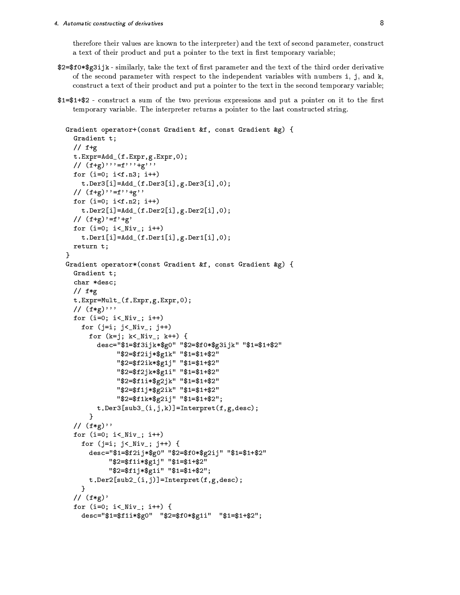therefore their values are known to the interpreter) and the text of second parameter, construct a text of their product and put a pointer to the text in first temporary variable;

- \$2=\$f0\*\$g3ijk similarly, take the text of first parameter and the text of the third order derivative of the second parameter with respect to the independent variables with numbers  $i$ ,  $j$ , and  $k$ , construct a text of their product and put a pointer to the text in the second temporary variable;
- \$1=\$1+\$2 construct a sum of the two previous expressions and put a pointer on it to the first temporary variable. The interpreter returns a pointer to the last constructed string.

```
Gradient operator+(const Gradient &f, const Gradient &g) {
  Gradient t:
  // f+gt.Expr=Add_(f.Expr,g.Expr,0);
  // (f+g), f-f, f+g, ffor (i=0; i \le f.n3; i++)t.Der3[i]=Add_(f.Der3[i],g.Der3[i],0);// (f+g)''=f''+g''
  for (i=0; i \le f.n2; i++)t.Der2[i]=Add_{-}(f.Der2[i],g.Der2[i],0);// (f+g)'=f'+g'for (i=0; i<_Niv_j; i++)t.Der1[i]=Add_{-}(f.Der1[i], g.Der1[i], 0);return t;
}
Gradient operator*(const Gradient &f, const Gradient &g) {
  Gradient t:
  char *desc:
  // f*g
  t.Expr=Mult_(f.Expr,g.Expr,0);
  \frac{1}{\sqrt{2}} (f*g)<sup>,</sup>,
  for (i=0; i<_Niv_j; i++)for (j=i; j< Niv_); j++)for (k=j; k< Niv_; k++) {
        desc="$1=$f3ijk*$g0" "$2=$f0*$g3ijk" "$1=$1+$2"
              "$2=$f2ij*$g1k" "$1=$1+$2"
              "$2=$f2ik*$g1j" "$1=$1+$2"
              "$2=$f2jk*$g1i" "$1=$1+$2"
              "$2=$f1i*$g2jk" "$1=$1+$2"
              "$2=$f1j*$g2ik" "$1=$1+$2"
              "$2=$f1k*$g2ij" "$1=$1+$2";
        t.Der3[sub3_(i,j,k)] = Internet(f,g,desc);\mathbf{R}// (f * g)"
  for (i=0; i<_Niv_j; i++)for (j=i; j<Niv; j++) {
      desc="$1=$f2ij*$g0" "$2=$f0*$g2ij" "$1=$1+$2"
            "$2=$f1i*$g1j" "$1=$1+$2"
            "$2=$f1j*$g1i" "$1=$1+$2";
      t.Der2[sub2_(i,j)] = Interpret(f,g,desc);\mathcal{F}// (f*g)'for (i=0; i < Niv_); i++) {
    desc="$1=$f1i*$g0" "$2=$f0*$g1i" "$1=$1+$2";
```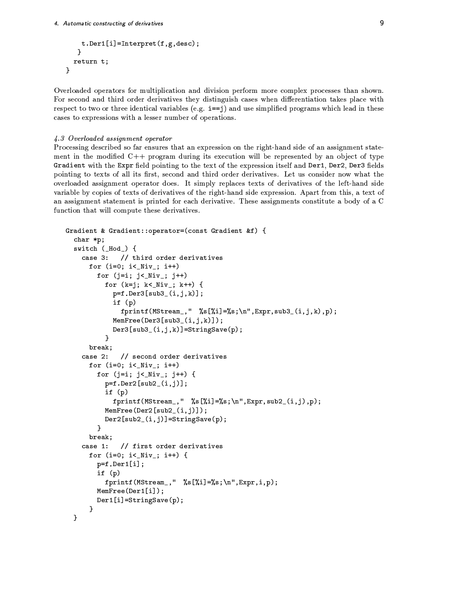```
t.Der1[i] = Interpret(f,g,desc);\mathcal{F}return t;
\mathbf{r}
```
Overloaded operators for multiplication and division perform more complex processes than shown. For second and third order derivatives they distinguish cases when differentiation takes place with respect to two or three identical variables (e.g.  $i == j$ ) and use simplified programs which lead in these cases to expressions with a lesser number of operations.

#### 4.3 Overloaded assignment operator

Processing described so far ensures that an expression on the right-hand side of an assignment statement in the modified C++ program during its execution will be represented by an object of type Gradient with the Expr field pointing to the text of the expression itself and Der1, Der2, Der3 fields pointing to texts of all its first, second and third order derivatives. Let us consider now what the overloaded assignment operator does. It simply replaces texts of derivatives of the left-hand side variable by copies of texts of derivatives of the right-hand side expression. Apart from this, a text of an assignment statement is printed for each derivative. These assignments constitute a body of a C function that will compute these derivatives.

```
Gradient & Gradient::operator=(const Gradient &f) {
  char *p;
  switch (\_\text{Hod}) {
    case 3: // third order derivatives
      for (i=0; i< Niv_); i++)for (j=i; j< Niv_j; j++)for (k=j; k< Niv_; k++) {
            p=f.Der3[sub3_(i,j,k)],if (p)fprintf(MStream_," %s[%i]=%s;\n",Expr,sub3_(i,j,k),p);
            MemFree(Der3[sub3_(i,j,k)]);Der3[sub3_(i,j,k)] = StringSave(p);\mathbf{R}break;
    case 2:
              // second order derivatives
      for (i=0; i<_Niv_j; i++)for (j=i; j< Niv_j; j++) {
          p=f.Der2[sub2_(i,j)];
          if (p)fprintf(MStream_," %s[%i]=%s;\n",Expr,sub2_(i,j),p);
          MemFree(Der2[sub2_(i,j)]);Der2[sub2(i,j)] = StringSave(p);\mathcal{F}break:
              // first order derivatives
    case 1:
      for (i=0; i<_Niiv_); i++) {
        p=f.Der1[i];if (p)
          fprintf(MStream_," %s[%i]=%s;\n",Expr,i,p);
        MemFree(Der1[i]);Der1[i]=StringSave(p);\mathcal{F}\mathbf{r}
```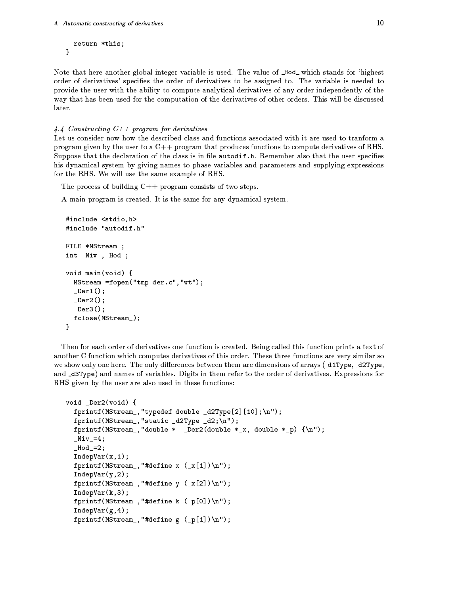```
return *this;
}
```
Note that here another global integer variable is used. The value of Hod\_ which stands for 'highest order of derivatives' specifies the order of derivatives to be assigned to. The variable is needed to provide the user with the ability to compute analytical derivatives of any order independently of the way that has been used for the computation of the derivatives of other orders. This will be discussed later.

4.4 Constructing  $C++$  program for derivatives

Let us consider now how the described class and functions associated with it are used to tranform a program given by the user to a  $C++$  program that produces functions to compute derivatives of RHS. Suppose that the declaration of the class is in file autodif.h. Remember also that the user specifies his dynamical system by giving names to phase variables and parameters and supplying expressions for the RHS. We will use the same example of RHS.

The process of building  $C++$  program consists of two steps.

A main program is created. It is the same for any dynamical system.

```
#include <stdio.h>
#include "autodif.h"
FILE *MStream_;
int _Niv_,_Hod_;
void main(void) {
  MStream_=fopen("tmp_der.c","wt");
  Der1();
  Der2();
  Der3();
  fclose(MStream_);\mathbf{r}
```
Then for each order of derivatives one function is created. Being called this function prints a text of another C function which computes derivatives of this order. These three functions are very similar so we show only one here. The only differences between them are dimensions of arrays (\_d1Type, \_d2Type, and \_d3Type) and names of variables. Digits in them refer to the order of derivatives. Expressions for RHS given by the user are also used in these functions:

```
void _Der2(void) {
  fprintf(MStream_,"typedef double _d2Type[2][10];\n");
  fprintf(MStream_, "static _d2Type _d2;\n");
  fprintf(MStream_,"double * _Der2(double *_x, double *_p) {\n");
  Niv_3 = 4;-Hod-=2;
  IndepVar(x, 1);fprintf(MStream_, "#define x (x[1])\n\ln");
  IndepVar(y, 2);fprintf(MStream_, "#define y (_x[2])\n");
  IndepVar(k,3);fprintf(MStream_, "#define k (_p[0])\n");
  IndepVar(g, 4);fprintf(MStream_, "#define g (_p[1])\n");
```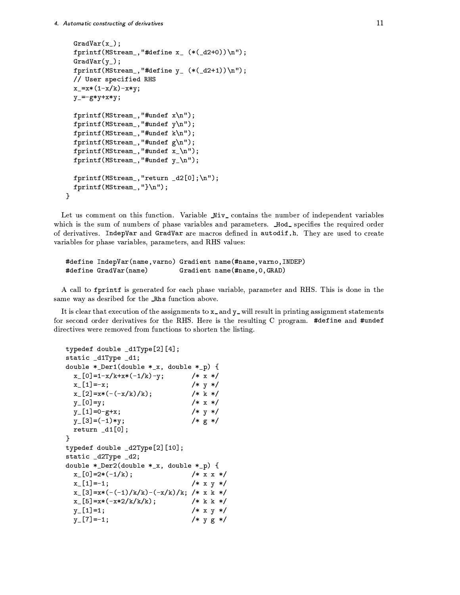```
GradVar(x_:
  fprintf (MStream_, "#define x_ (*(.d2+0))\n");
  GradVar(y_),
  fprintf (MStream_, "#define y_ (*(-d2+1))\n");
  // User specified RHS
  x_-=x*(1-x/k)-x*y;y = -gx+y+x*y;fprintf (MStream_, "#undef x \nightharpoonup");
  fprintf (MStream_, "#undef y \nightharpoonup");
  fprintf (MStream_, "#undef k\n");
  fprintf (MStream_, "#undef g\nu");
  fprintf (MStream_, "#undef x_\n\ln");
  fprintf (MStream_, "#undef y_\lambda");
  fprintf (MStream_, "return _d2[0];\n");
  f_{\text{max}} = f(MO_{\text{max}}) \{V\}\cup\{V\}×
```
Let us comment on this function. Variable  $\texttt{Miv\_ contains the number of independent variables}$ which is the sum of numbers of phase variables and parameters. Hod\_specifies the required orde of derivatives.IndepVar and GradVar are macros defined in autodif .h.Thev are used to create variables for phase variables, parameters, and RHS values:

```
#define IndepVar(name, varno) Gradient name(#name, varno, INDEP)
#define GradVar(name) Gradient name(#name, 0, GRAD)
```
o¨)!#=\\$ ÙÒÕMÈÚ
Ù -[\*" !#\$`1I T!#r!#
^/a! -!#=H!# -!#\$ [!".eh<sup>i</sup> B ÿ-[-G"^-".\$ same wav as desribed for the \_Rhs function above. .

It is clear that execution of the assignments to **x**\_and **v**\_will result in printing assignment statements for second order derivatives for the RHS. Here is the resulting C program. #define and #undef directives were removed from functions to shorten the listing.

```
typedef double_d1Type[2][4];static _d1Type _d1;
double *_Der1(double *_x, double *_p) {
 x_{-}[0]=1-x/k+x*(-1/k)-y; /* x*/x_{-}[1] = -x; /* y */
 x_{-}[2]=x*(-(-x/k)/k); /* k */
 y_{-}[0]=y; /* x */
 y_{-}[1]=0-g+x; /* y */
 y_{-}[3]=(-1)*y; /* g*/return _d1[0];×
typedef double_d2Type[2][10];static _d2Type _d2;
double *_Der2(double *_x, double *_p) {
 x_{\text{r}}[0]=2*(-1/k); /* x x */
 x_{-}[1]=-1; /* x y */
 x_{-[3]=x*(-(-1)/k/k)-(-x/k)/k; /* x k */
 x_{\text{I}}[5]=x*(-x*2/k/k/k); /* k k */
 y_{r}[1]=1; /* x y */
 y_{-}[7] = -1; /* y g */
```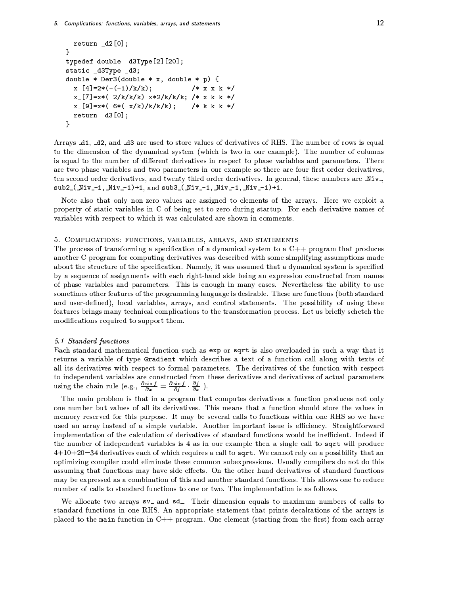```
return _d2[0];}
typedef double _d3Type[2][20];
static _d3Type _d3;
double *_Der3(double *_x, double *_p) {
  x_{-}[4] = 2*(-(-1)/k/k);/* x x k */x_{-}[7]=x*(-2/k/k/k)-x*2/k/k/k; /* x k k */
  x_{-}[9]=x*(-6*(-x/k)/k/k/k);/* k k k */return _d3[0];}
```
Arrays 41, 42, and 43 are used to store values of derivatives of RHS. The number of rows is equal to the dimension of the dynamical system (which is two in our example). The number of columns is equal to the number of different derivatives in respect to phase variables and parameters. There are two phase variables and two parameters in our example so there are four first order derivatives, ten second order derivatives, and twenty third order derivatives. In general, these numbers are Niv $sub2-(Miv-1, Niv-1)+1, and sub3-(Niv-1, Niv-1, Niv-1)+1.$ 

Note also that only non-zero values are assigned to elements of the arrays. Here we exploit a property of static variables in C of being set to zero during startup. For each derivative names of variables with respect to which it was calculated are shown in comments.

## 5. COMPLICATIONS: FUNCTIONS, VARIABLES, ARRAYS, AND STATEMENTS

The process of transforming a specification of a dynamical system to a  $C_{++}$  program that produces another C program for computing derivatives was described with some simplifying assumptions made about the structure of the specification. Namely, it was assumed that a dynamical system is specified by a sequence of assignments with each right-hand side being an expression constructed from names of phase variables and parameters. This is enough in many cases. Nevertheless the ability to use sometimes other features of the programming language is desirable. These are functions (both standard and user-defined), local variables, arrays, and control statements. The possibility of using these features brings many technical complications to the transformation process. Let us briefly schetch the modifications required to support them.

#### 5.1 Standard functions

Each standard mathematical function such as exp or sqrt is also overloaded in such a way that it returns a variable of type Gradient which describes a text of a function call along with texts of all its derivatives with respect to formal parameters. The derivatives of the function with respect to independent variables are constructed from these derivatives and derivatives of actual parameters using the chain rule (e.g.,  $\frac{\partial \sin f}{\partial x} = \frac{\partial \sin f}{\partial f} \cdot \frac{\partial f}{\partial x}$ ).

The main problem is that in a program that computes derivatives a function produces not only one number but values of all its derivatives. This means that a function should store the values in memory reserved for this purpose. It may be several calls to functions within one RHS so we have used an array instead of a simple variable. Another important issue is efficiency. Straightforward implementation of the calculation of derivatives of standard functions would be inefficient. Indeed if the number of independent variables is 4 as in our example then a single call to sqrt will produce  $4+10+20=34$  derivatives each of which requires a call to sqrt. We cannot rely on a possibility that an optimizing compiler could eliminate these common subexpressions. Usually compilers do not do this assuming that functions may have side-effects. On the other hand derivatives of standard functions may be expressed as a combination of this and another standard functions. This allows one to reduce number of calls to standard functions to one or two. The implementation is as follows.

We allocate two arrays sv<sub>-</sub> and sd<sub>-</sub>. Their dimension equals to maximum numbers of calls to standard functions in one RHS. An appropriate statement that prints decalrations of the arrays is placed to the main function in  $C++$  program. One element (starting from the first) from each array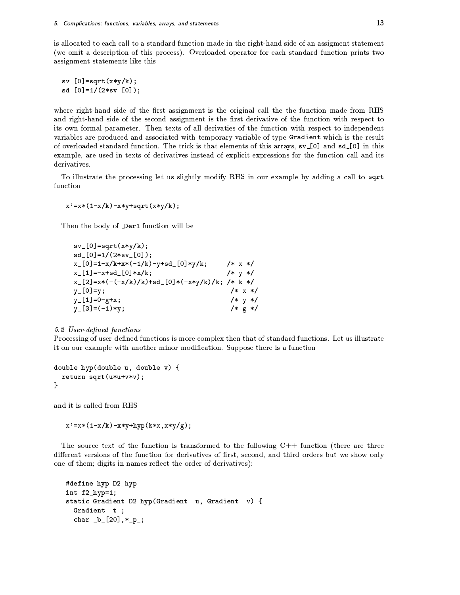is allocated to each call to a standard function made in the right-hand side of an assigment statement (we omit a description of this process). Overloaded operator for each standard function prints two assignment statements like this

```
sv_{-}[0]=sqrt(x*y/k);
sd_{0}[0]=1/(2*sv<sub>-</sub>[0]);
```
where right-hand side of the first assignment is the original call the the function made from RHS and right-hand side of the second assignment is the first derivative of the function with respect to its own formal parameter. Then texts of all derivaties of the function with respect to independent variables are produced and associated with temporary variable of type Gradient which is the result of overloaded standard function. The trick is that elements of this arrays,  $sv.[0]$  and  $sd.[0]$  in this example, are used in texts of derivatives instead of explicit expressions for the function call and its derivatives.

To illustrate the processing let us slightly modify RHS in our example by adding a call to sqrt function

 $x' = x * (1 - x/k) - x * y + sqrt(x * y/k);$ 

Then the body of **Der1** function will be

```
sv_{-}[0] = sqrt(x*y/k);sd_{0}[0]=1/(2*sv<sub>-</sub>[0]);
x_{-}[0]=1-x/k+x*(-1/k)-y+sd_{-}[0]*y/k;/* x * /x_{-}[1] = -x + sd_{-}[0]*x/k;/* y */x_{-}[2]=x*(-(-x/k)/k)+sd_{-}[0]*(-x*y/k)/k;/* k */
                                                 /* x */y [0] = y;
                                                 /* y */y [1] = 0 - g + x;
                                                  /* g * /y_{-}[3] = (-1)*y;
```
## 5.2 User-defined functions

Processing of user-defined functions is more complex then that of standard functions. Let us illustrate it on our example with another minor modification. Suppose there is a function

```
double hyp(double u, double v) {
  return sqrt(u*u+v*v);\mathbf{r}
```
and it is called from RHS

 $x' = x * (1 - x/k) - x * y + hyp(k * x, x * y/g);$ 

The source text of the function is transformed to the following  $C++$  function (there are three different versions of the function for derivatives of first, second, and third orders but we show only one of them; digits in names reflect the order of derivatives):

```
#define hyp D2_hyp
int f2_hyp=1;static Gradient D2_hyp(Gradient _u, Gradient _v) {
 Gradient _t_;
  char _b[20], *_{p};
```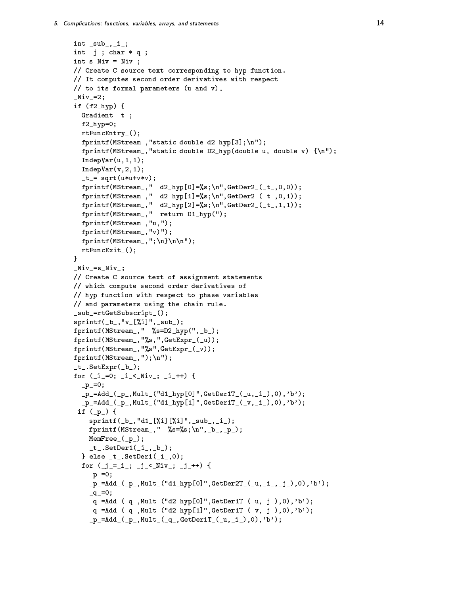```
int sub , i;
int \lfloor j \rfloor; char *_q_;
int s_Niv_=-Niv_;
// Create C source text corresponding to hyp function.
// It computes second order derivatives with respect
// to its formal parameters (u and v).
Niv_3if (f2_hyp) {
  Gradient _t_;
  f2_hyp=0;rtFuncEntry<sub>()</sub>;
  fprintf(MStream_,"static double d2_hyp[3];\n\\n");
  fprintf(MStream_,"static double D2_hyp(double u, double v) {\n");
  IndepVar(u, 1, 1);IndepVar(v, 2, 1);_t = sqrt(w*u+v*v);fprintf(MStream_," d2_hyp[0]=\s;\n",GetDer2_(_t_,0,0));
  fprintf(MStream_," d2_hyp[1]=%s; \n', GetDer2_(_t_,0,1));
  fprintf(MStream_," d2_hyp[2]=%s; \n', GetDer2_(_t_,1,1));
  fprintf(MStream_," return D1_hyp(");
  fprintf(MStream_, "u, ");
  fprintf(MStream_,"v)");
  fprintf(MStream_,";\n}\n\n");
  rtFuncExit_{:
}
Niv=s_Niv_;
// Create C source text of assignment statements
// which compute second order derivatives of
// hyp function with respect to phase variables
// and parameters using the chain rule.
_sub_=rtGetSubscript_();
spring( _b_, "v_{-}[\%i] ", _sub_{);
fprintf(MStream_," %s=D2_hyp(",_b_);
fprintf(MStream_, "%s, ", GetExpr_(_u));
fprint(MStream_, "\s", GetExpr_(_v));fprintf(MStream_,");\n");
_t.SetExpr(_b);
for (i_1=0; i_2< Niv_; (i_1+1) {
  -p_-=0;_{p_{-}P_{-}}=Add__{(p_{-},Mult_{-}}("d1_{hyp}[0]", GetDer1T_{-(u,-i_{-}),0), 'b');
  _p_=Add_(_p_,Mult_("d1_hyp[1]",GetDer1T_(_v,_i_),0),'b');
 if (p_) {
    sprintf(_b_,"d1_[%i][%i]",_sub_,_i_);
    fprintf(MStream_," %s=%s;\n",_b_,_p_);
    MemFree_{p});
    _t.SetDer1(i_1, b_2);
  } else _t_. SetDer1(_i_,0);
  for (j_1 = i_1; j_3 = j_4) (i_1, i_2, j_3 + j_4) {
    -p_0=0;_{p_{-}P_{-}}=Add__{p_{-},Mult_{-}}("d1_{hyp}[0]", GetDer2T__{p_{-},p_{-}}(j_{-},j_{-}), 0), 'b');
    _{-}q_{-}=0;
    _{q} =Add (q_1, Mult_("d2_hvp[0]', GetDerIT_ (u, i_), 0), 'b');_q =Add (q_1, Mult_{d2_hyp[1]}, GetDer1T_{(v, j_1)}, 0), 'b');[p_=Add_-(p_-,Multi_-(q_-,GetDer1T_-(u,-i_-),0), 'b');
```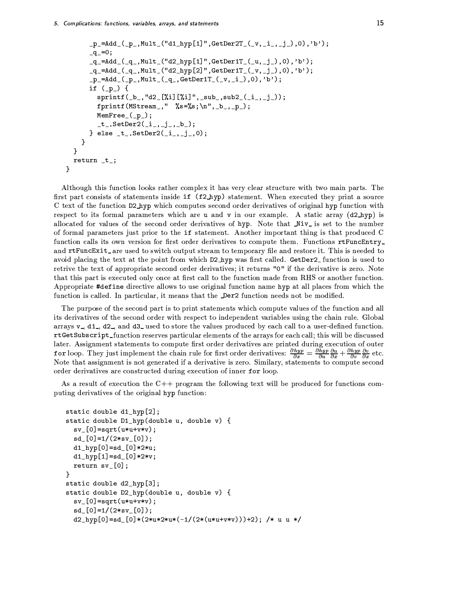$\mathcal{F}$ 

```
_p = Add_-(p_-, Mult_("d1_hyp[1]', GetDer2T_-(v_1,i_-,j_-),0), 'b');-q = 0;_q =Add_(_q_,Mult_("d2_hyp[1]",GetDer1T_(_u,_j_),0),'b');
     -q<sup>-Add</sup> (-q, Mult ("d2_hyp[2]", GetDer1T (_v, j), 0),'b');
     -p_{{-}} = Add({p_{{-}}}, Mult({-q_{{-}}}, GetDer1T({-v}, i_{{-}}), 0), 'b'));if (p_+) {
       sprintf(_b_,"d2_[%i][%i]",_sub_,sub2_(_i_,_j_));
       fprintf(MStream_," %s=%s;\n",_b_,_p_);
       MemFree_(p_);_t_t.SetDer2(i_t, j_t, b);
    } else _t_. SetDer2(_i_,_j_,0);
  \mathcal{F}\mathbf{r}return _t;
```
Although this function looks rather complex it has very clear structure with two main parts. The first part consists of statements inside if (f2\_hyp) statement. When executed they print a source C text of the function D2\_hyp which computes second order derivatives of original hyp function with respect to its formal parameters which are u and v in our example. A static array (d2\_hyp) is allocated for values of the second order derivatives of hyp. Note that Niv<sub>-</sub> is set to the number of formal parameters just prior to the if statement. Another important thing is that produced C function calls its own version for first order derivatives to compute them. Functions rtFuncEntry\_ and rtFuncExit\_are used to switch output stream to temporary file and restore it. This is needed to avoid placing the text at the point from which D2\_hyp was first called. GetDer2\_function is used to retrive the text of appropriate second order derivatives; it returns "0" if the derivative is zero. Note that this part is executed only once at first call to the function made from RHS or another function. Appropriate #define directive allows to use original function name hyp at all places from which the function is called. In particular, it means that the Der2 function needs not be modified.

The purpose of the second part is to print statements which compute values of the function and all its derivatives of the second order with respect to independent variables using the chain rule. Global arrays  $v_1$ , d1, d2, and d3, used to store the values produced by each call to a user-defined function. rtGetSubscript\_function reserves particular elements of the arrays for each call; this will be discussed later. Assignment statements to compute first order derivatives are printed during execution of outer for loop. They just implement the chain rule for first order derivatives:  $\frac{\partial hyp}{\partial x} = \frac{\partial \tilde{h}yp}{\partial u} \frac{\partial u}{\partial x} + \frac{\partial hyp}{\partial v} \frac{\partial v}{\partial x}$  etc. Note that assignment is not generated if a derivative is zero. Similary, statements to compute second order derivatives are constructed during execution of inner for loop.

As a result of execution the  $C_{++}$  program the following text will be produced for functions computing derivatives of the original hyp function:

```
static double d1_hyp[2];
static double D1_hyp(double u, double v) {
  sv_{0} = sqrt(u * u + v * v);sd_{0}[0]=1/(2*sv<sub>-</sub>[0]);
  d1_hyp[0]=sd_{0}e^{3*2*u};d1_hyp[1]=sd_{0}Q*2*v;return sv.[0];}
static double d2_hyp[3];
static double D2_hyp(double u, double v) {
  sv_{-}[0]=sqrt(u*u+v*v);sd_{-}[0]=1/(2*sv_{-}[0]);d2_hyp[0]=sd_{0}(0)*(2*u*2*u*(-1/(2*(u*u+v*v)))+2);/* u u */
```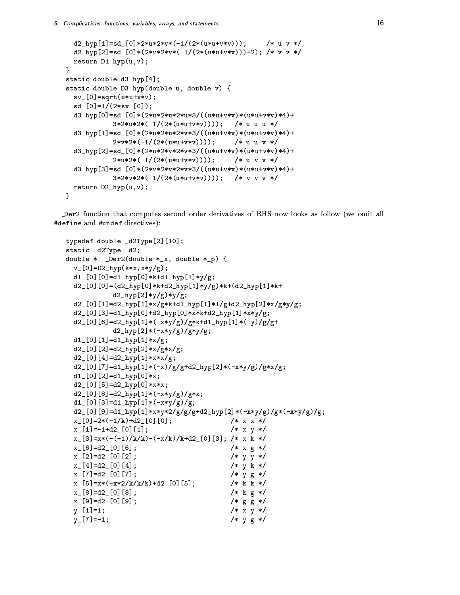```
d2_hvp[1]=sd[0]*2*u*2*v*(-1/(2*(u*u+v*v)));
                                                  /* u v */d2_hyp[2]=sd_{0}e^{0}*(2*v*2*v*(-1/(2*(u*u+v*v)))+2);/* v v */
 return D1_hyp(u,v);
\mathcal{F}static double d3_hyp[4];
static double D3_hyp(double u, double v) {
  sv_{-}[0] = sqrt(u * u + v * v);sd_{0}[0]=1/(2*sv<sub>-</sub>[0]);
  d3_hyp[0]=sd_{0}*(2*u*2*u*2*u*3/((u*u+v*v)*(u*u+v*v)*4)+3*2*u*2*(-1/(2*(u*u+v*v)))); /* uuu*/
  d3_hyp[1]=sd[0]*(2*u*2*u*2*v*3/((u*u+v*v)*(u*u+v*v)*4)+2* v * 2*(-1/(2*(u * u + v * v))));
                                            /* u u v */
  d3_hyp[2]=sd_[0]*(2*u*2*v*2*v*3/((u*u+v*v)*(u*u+v*v)*4)+
            2*u*2*(-1/(2*(u*u+v*v)));
                                           /* u v v */d3_hyp[3]=sd_{0}'(2*v*2*v*2*v*3/((u*u+v*v)*(u*u+v*v)*4)+3*2*v*2*(-1/(2*(u*u+v*v)))); /* v v v */
 return D2_hyp(u,v);
}
```
Der2 function that computes second order derivatives of RHS now looks as follow (we omit all #define and #undef directives):

```
typedef double _d2Type[2][10];
static _d2Type _d2;
double * _Der2(double *_x, double *_p) {
  v_{-}[0] = D2_{hyp}(k*x, x*y/g);d1 [0] [0] = d1 hyp [0] * k + d1 hyp [1] * y/g;
  d2 [0] [0] = (d2_hyp[0]*k+d2_hyp[1]*y/g)*k+(d2_hyp[1]*k+d2_hyp[2]*y/g)*y/g;
  d2 [0] [1]=d2_hyp[1]*x/g*k+d1_hyp[1]*1/g+d2_hyp[2]*x/g*y/g;
  d2 [0] [3]=d1_hyp[0]+d2_hyp[0]*x*k+d2_hyp[1]*x*y/g;
  d2 [0] [6]=d2_hyp[1]*(-x*y/g)/g*k+d1_hyp[1]*(-y)/g/g+
             d2_hyp[2]*(-x*y/g)/g*y/g;d1 [0] [1] = d1 hyp[1] * x/g;
  d2 [0] [2] = d2 hyp [2] * x / g * x / g;
  d2 [0] [4] = d2 hyp [1] * x * x / g;
  d2 [0][7]=d1_hyp[1]*(-x)/g/g+d2_hyp[2]*(-x*y/g)/g*x/g;
  d1 [0] [2] = d1 hyp [0] *x;
  d2 [0] [5] = d2 hyp [0] * x * x;
  d2 [0] [8] = d2 hyp[1] *(-x*y/g)/gx*x;d1 [0] [3] = d1 hyp[1] *(-x*y/g)/g;d2 [0] [9] =d1_hyp[1] *x*y*2/g/g/g+d2_hyp[2] *(-x*y/g)/g*(-x*y/g)/g;
  x_{-}[0]=2*(-1/k)+d2_{-}[0][0];/* x x *//* x y */x_{-}[1] = -1 + d2_{-}[0][1];x_{-}[3]=x*(-(-1)/k/k)-(-x/k)/k+d2_{-}[0][3]; /* x k */
  x_{-}[6] = d2_{-}[0][6];/* x g */x_{-}[2] = d2_{-}[0][2];/* y y */x_{-}[4] = d2_{-}[0][4];/* y k *//* y g */x [7] = d2 [0] [7];
  x_{-}[5]=x*(-x*2/k/k/k)+d2_{-}[0][5];/* k k */
                                              /* k g */x_{-}[8] = d2_{-}[0][8];x-[9]=d2-[0][9];/* g g *//* x y */y [1]=1;
  y [7] = -1;
                                              /* y g */
```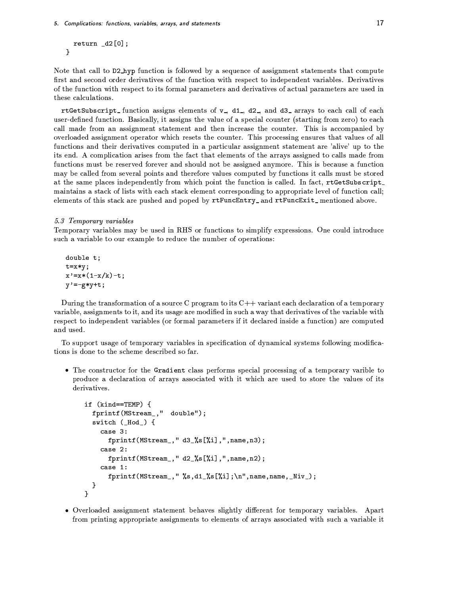```
return _d2[0];}
```
Note that call to D2\_hyp function is followed by a sequence of assignment statements that compute first and second order derivatives of the function with respect to independent variables. Derivatives of the function with respect to its formal parameters and derivatives of actual parameters are used in these calculations.

rtGetSubscript\_function assigns elements of v\_, d1\_, d2\_, and d3\_ arrays to each call of each user-defined function. Basically, it assigns the value of a special counter (starting from zero) to each call made from an assignment statement and then increase the counter. This is accompanied by overloaded assignment operator which resets the counter. This processing ensures that values of all functions and their derivatives computed in a particular assignment statement are 'alive' up to the its end. A complication arises from the fact that elements of the arrays assigned to calls made from functions must be reserved forever and should not be assigned anymore. This is because a function may be called from several points and therefore values computed by functions it calls must be stored at the same places independently from which point the function is called. In fact, rtGetSubscript\_ maintains a stack of lists with each stack element corresponding to appropriate level of function call; elements of this stack are pushed and poped by rtFuncEntry\_ and rtFuncExit\_ mentioned above.

#### 5.3 Temporary variables

Temporary variables may be used in RHS or functions to simplify expressions. One could introduce such a variable to our example to reduce the number of operations:

 $double$ ;  $t = x * y;$  $x' = x * (1-x/k) - t;$  $y' = -gx + y + t$ ;

During the transformation of a source C program to its  $C++$  variant each declaration of a temporary variable, assignments to it, and its usage are modified in such a way that derivatives of the variable with respect to independent variables (or formal parameters if it declared inside a function) are computed and used.

To support usage of temporary variables in specification of dynamical systems following modifications is done to the scheme described so far.

• The constructor for the Gradient class performs special processing of a temporary varible to produce a declaration of arrays associated with it which are used to store the values of its derivatives.

```
if (kind==TEMP) {
  fprintf(MStream_," double");
  switch (\_Hod_{})\case 3:
      fprintf(MStream_," d3_%s[%i],",name,n3);
    case 2:
      fprintf(MStream_, " d2_%s[%i], ", name, n2);
    case 1:
      fprintf(MStream_," %s,d1_{s}[1];\n',name,name,1];
  }
\mathcal Y
```
• Overloaded assignment statement behaves slightly different for temporary variables. Apart from printing appropriate assignments to elements of arrays associated with such a variable it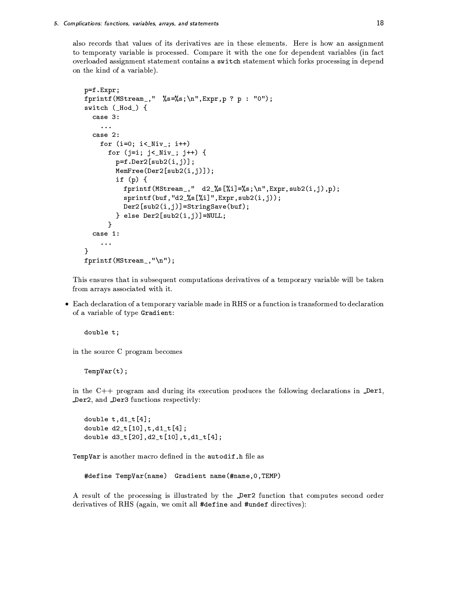also records that values of its derivatives are in these elements. Here is how an assignment to temporaty variable is processed. Compare it with the one for dependent variables (in fact overloaded assignment statement contains a switch statement which forks processing in depend on the kind of a variable).

```
p=f.Expr;
fprintf(MStream_," %s=%s;\n", Expr, p ? p : "0");
switch (_Hod_) {
  case 3:
     \ddot{\phantom{a}}case 2:
    for (i=0; i<_Niv_j; i++)for (j=i; j< Niv_); j++) {
         p = f.Der2[sub2(i,j)];
         MemFree(Der2[sub2(i,j)]);if (p) {
           fprintf(MStream_," d2<sub>2</sub>%[%i]=%s;\n",Expr,sub2(i,j),p);
           sprint f(buf, "d2_{s}[[1]", Expr, sub2(i,j));Der2[sub2(i,j)] = StringSave(buf);} else Der2[sub2(i,j)]=NULL;
       \mathbf{r}case 1:
     \ddotsc}
fprintf (MStream_, "\n");
```
This ensures that in subsequent computations derivatives of a temporary variable will be taken from arrays associated with it.

• Each declaration of a temporary variable made in RHS or a function is transformed to declaration of a variable of type Gradient:

double t;

in the source C program becomes

 $TempVar(t);$ 

in the  $C++$  program and during its execution produces the following declarations in  $\Delta$ er1, Der2, and Der3 functions respectivly:

double  $t, d1_t[4]$ ; double  $d2_t[10], t, d1_t[4];$ double d3\_t[20], d2\_t[10], t, d1\_t[4];

TempVar is another macro defined in the autodif. h file as

#define TempVar(name) Gradient name(#name, 0, TEMP)

A result of the processing is illustrated by the Der2 function that computes second order derivatives of RHS (again, we omit all #define and #undef directives):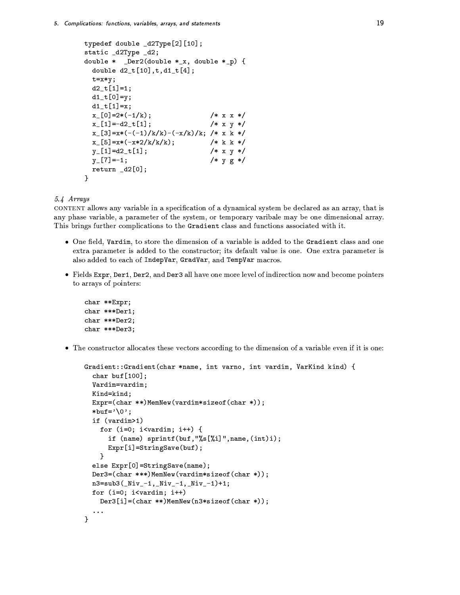```
typedef double _d2Type[2][10];static _d2Type _d2;
double * _Der2(double *_x, double *_p) {
  double d2_t[10], t, d1_t[4];t = x * y;d2_t[1]=1;
 d1_t[0]=y;d1_t[1]=x;/* x x */x_{-}[0] = 2*(-1/k);x_{-}[1] = -d2_t[1];/* x y */x_{-}[3]=x*(-(-1)/k/k)-(-x/k)/k; /* x k */
 x_{-}[5]=x*(-x*2/k/k/k); /* k k */
 y_[1]=d2_t[1];
                                /* x y */y [7] = -1;
                                /* y g */return _d2[0];\mathbf{r}
```
5.4 Arrays

CONTENT allows any variable in a specification of a dynamical system be declared as an array, that is any phase variable, a parameter of the system, or temporary varibale may be one dimensional array. This brings further complications to the Gradient class and functions associated with it.

- One field, Vardim, to store the dimension of a variable is added to the Gradient class and one extra parameter is added to the constructor; its default value is one. One extra parameter is also added to each of IndepVar, GradVar, and TempVar macros.
- Fields Expr, Der1, Der2, and Der3 all have one more level of indirection now and become pointers to arrays of pointers:

```
char **Expr;
char ***Der1;
char ***Der2;
char ***Der3;
```
• The constructor allocates these vectors according to the dimension of a variable even if it is one:

```
Gradient::Gradient(char *name, int varno, int vardim, VarKind kind) {
  char buf[100]:
  Vardim=vardim;
  Kind=kind;
  Expr = (char **)MemNew(vardim*sizeof(char *));
  *buf=\sqrt{0};
  if (vardim>1)
    for (i=0; i<vardim; i++) {
      if (name) sprintf(buf, "\s["\ii]", name, (int)i);Expr[i] = StringSave(buf);}
  else Expr[0]=StringSave(name);
  Der3 = (char ***)MemNew(vardim*sizeof(char *));
  n3 = sub3( Niv - 1, Niv - 1, Niv - 1) + 1;for (i=0; i<vardim; i++)Der3[i]=(char **)MemNew(n3*sizeof(char *));
\mathcal{F}
```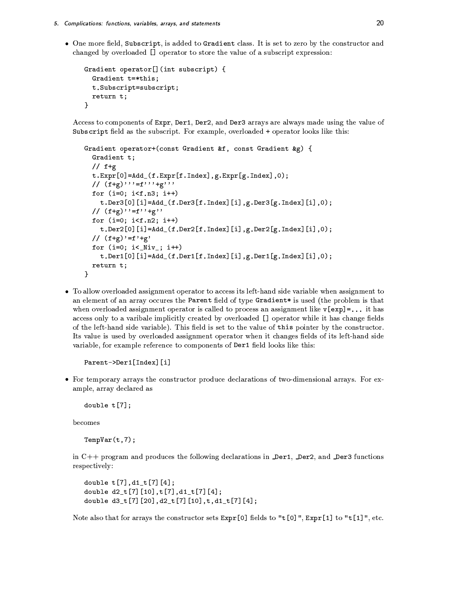• One more field, Subscript, is added to Gradient class. It is set to zero by the constructor and changed by overloaded [] operator to store the value of a subscript expression:

```
Gradient operator[] (int subscript) {
  Gradient t=*this;
  t.Subscript=subscript;
 return t:
}
```
Access to components of Expr, Der1, Der2, and Der3 arrays are always made using the value of Subscript field as the subscript. For example, overloaded + operator looks like this:

```
Gradient operator+(const Gradient &f, const Gradient &g) {
  Gradient t;
  // f+gt.Expr[0]=Add_{f.Expr[f.Index],g.Expr[g.Index],0);// (f+g), f' = f', f' + g', f'for (i=0; i \le f.n3; i++)t. Der3[0][i]=Add_{1}.Der3[f.Index][i],g.Der3[g.Index][i],0);// (f+g)''=f''+g''
  for (i=0; i \le f.n2; i++)t.Der2[0][i]=Add_(f.Der2[f.Index][i],g.Der2[g.Index][i],0);
  // (f+g)'=f'+g'for (i=0; i< Niv_); i++)t.Der1[0][i]=Add_(f.Der1[f.Index][i],g.Der1[g.Index][i],0);
 return t;
}
```
• To allow overloaded assignment operator to access its left-hand side variable when assignment to an element of an array occures the Parent field of type Gradient\* is used (the problem is that when overloaded assignment operator is called to process an assignment like  $v [exp] = ...$  it has access only to a varibale implicitly created by overloaded [] operator while it has change fields of the left-hand side variable). This field is set to the value of this pointer by the constructor. Its value is used by overloaded assignment operator when it changes fields of its left-hand side variable, for example reference to components of Der1 field looks like this:

```
Parent->Der1[Index][i]
```
• For temporary arrays the constructor produce declarations of two-dimensional arrays. For example, array declared as

double  $t[7]$ ;

becomes

 $TempVar(t,7);$ 

in C++ program and produces the following declarations in Der1, Der2, and Der3 functions respectively:

```
double t[7], d1_t[7][4];double d2_t[7][10],t[7],d1_t[7][4];
double d3_t[7][20], d2_t[7][10], t, d1_t[7][4];
```
Note also that for arrays the constructor sets  $\text{Expr}[0]$  fields to "t[0]",  $\text{Expr}[1]$  to "t[1]", etc.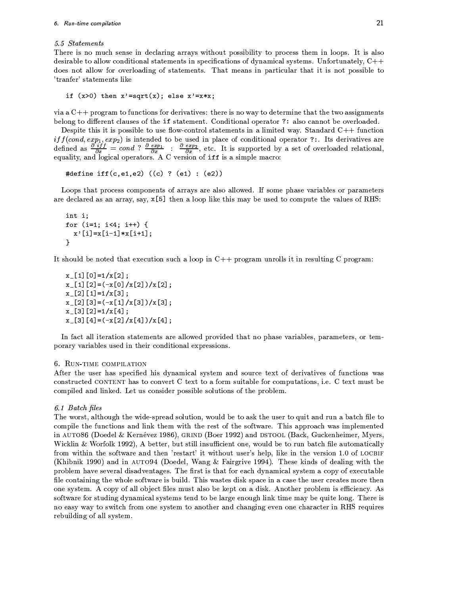#### 5.5 Statements

There is no much sense in declaring arrays without possibility to process them in loops. It is also desirable to allow conditional statements in specifications of dynamical systems. Unfortunately,  $C++$ does not allow for overloading of statements. That means in particular that it is not possible to 'tranfer' statements like

```
if (x>0) then x' = sqrt(x); else x' = x*x;
```
via a  $C++$  program to functions for derivatives: there is no way to determine that the two assignments belong to different clauses of the if statement. Conditional operator ?: also cannot be overloaded.

Despite this it is possible to use flow-control statements in a limited way. Standard  $C++$  function *if*  $f(cond, exp_1, exp_2)$  is intended to be used in place of conditional operator ?:. Its derivatives are defined as  $\frac{\partial}{\partial x} \frac{\partial f}{\partial x} = cond$  ?  $\frac{\partial}{\partial x} \frac{exp_1}{\partial x}$  :  $\frac{\partial}{\partial x} \frac{exp_2}{\partial x}$ , etc. It is supported by a set of ov

```
#define iff(c,e1,e2) ((c) ? (e1) : (e2))
```
Loops that process components of arrays are also allowed. If some phase variables or parameters are declared as an array, say,  $x[5]$  then a loop like this may be used to compute the values of RHS:

```
int i;
for (i=1; i<4; i++) {
  x' [i] = x [i-1] * x [i+1];
ł
```
It should be noted that execution such a loop in  $C++$  program unrolls it in resulting C program:

```
x [1] [0] = 1/x [2];
x_{-}[1][2]=(-x[0]/x[2])/x[2];x [2] [1] = 1/x [3];
x_{-}[2][3]=(-x[1]/x[3])/x[3];x [3] [2] = 1/x [4];
x_{-}[3][4] = (-x[2]/x[4])/x[4];
```
In fact all iteration statements are allowed provided that no phase variables, parameters, or temporary variables used in their conditional expressions.

## 6. RUN-TIME COMPILATION

After the user has specified his dynamical system and source text of derivatives of functions was constructed CONTENT has to convert C text to a form suitable for computations, i.e. C text must be compiled and linked. Let us consider possible solutions of the problem.

## 6.1 Batch files

The worst, although the wide-spread solution, would be to ask the user to quit and run a batch file to compile the functions and link them with the rest of the software. This approach was implemented in AUTO86 (Doedel & Kernévez 1986), GRIND (Boer 1992) and DSTOOL (Back, Guckenheimer, Myers, Wicklin & Worfolk 1992), A better, but still insufficient one, would be to run batch file automatically from within the software and then 'restart' it without user's help, like in the version 1.0 of LOCBIF (Khibnik 1990) and in AUTO94 (Doedel, Wang & Fairgrive 1994). These kinds of dealing with the problem have several disadventages. The first is that for each dynamical system a copy of executable file containing the whole software is build. This wastes disk space in a case the user creates more then one system. A copy of all object files must also be kept on a disk. Another problem is efficiency. As software for studing dynamical systems tend to be large enough link time may be quite long. There is no easy way to switch from one system to another and changing even one character in RHS requires rebuilding of all system.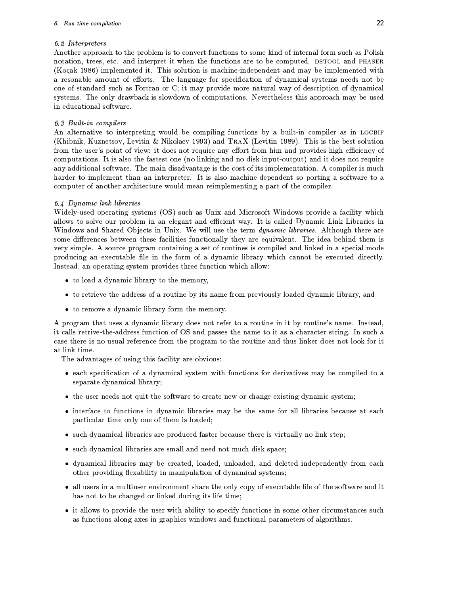# 6.2 Interpreters

Another approach to the problem is to convert functions to some kind of internal form such as Polish notation, trees, etc. and interpret it when the functions are to be computed. DSTOOL and PHASER (Koçak 1986) implemented it. This solution is machine-independent and may be implemented with a resonable amount of efforts. The language for specification of dynamical systems needs not be one of standard such as Fortran or C; it may provide more natural way of description of dynamical systems. The only drawback is slowdown of computations. Nevertheless this approach may be used in educational software.

# 6.3 Built-in compilers

An alternative to interpreting would be compiling functions by a built-in compiler as in LOCBIF (Khibnik, Kuznetsov, Levitin & Nikolaev 1993) and TRAX (Levitin 1989). This is the best solution from the user's point of view: it does not require any effort from him and provides high efficiency of computations. It is also the fastest one (no linking and no disk input-output) and it does not require any additional software. The main disadvantage is the cost of its implementation. A compiler is much harder to implement than an interpreter. It is also machine-dependent so porting a software to a computer of another architecture would mean reimplementing a part of the compiler.

# 6.4 Dynamic link libraries

Widely-used operating systems (OS) such as Unix and Microsoft Windows provide a facility which allows to solve our problem in an elegant and efficient way. It is called Dynamic Link Libraries in Windows and Shared Objects in Unix. We will use the term dynamic libraries. Although there are some differences between these facilities functionally they are equivalent. The idea behind them is very simple. A source program containing a set of routines is compiled and linked in a special mode producing an executable file in the form of a dynamic library which cannot be executed directly. Instead, an operating system provides three function which allow:

- to load a dynamic library to the memory,
- to retrieve the address of a routine by its name from previously loaded dynamic library, and
- to remove a dynamic library form the memory.

A program that uses a dynamic library does not refer to a routine in it by routine's name. Instead, it calls retrive-the-address function of OS and passes the name to it as a character string. In such a case there is no usual reference from the program to the routine and thus linker does not look for it at link time.

The advantages of using this facility are obvious:

- each specification of a dynamical system with functions for derivatives may be compiled to a separate dynamical library;
- the user needs not quit the software to create new or change existing dynamic system;
- interface to functions in dynamic libraries may be the same for all libraries because at each particular time only one of them is loaded;
- such dynamical libraries are produced faster because there is virtually no link step;
- such dynamical libraries are small and need not much disk space;
- dynamical libraries may be created, loaded, unloaded, and deleted independently from each other providing flexability in manipulation of dynamical systems;
- all users in a multiuser environment share the only copy of executable file of the software and it has not to be changed or linked during its life time;
- it allows to provide the user with ability to specify functions in some other circumstances such as functions along axes in graphics windows and functional parameters of algorithms.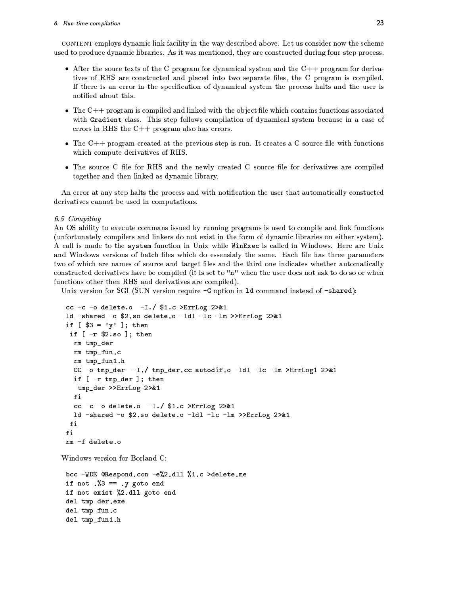#### 6. Run-time compilation

CONTENT employs dynamic link facility in the way described above. Let us consider now the scheme used to produce dynamic libraries. As it was mentioned, they are constructed during four-step process.

- After the soure texts of the C program for dynamical system and the  $C++$  program for derivatives of RHS are constructed and placed into two separate files, the C program is compiled. If there is an error in the specification of dynamical system the process halts and the user is notified about this.
- $\bullet$  The C++ program is compiled and linked with the object file which contains functions associated with Gradient class. This step follows compilation of dynamical system because in a case of errors in RHS the  $C++$  program also has errors.
- The  $C++$  program created at the previous step is run. It creates a C source file with functions which compute derivatives of RHS.
- The source C file for RHS and the newly created C source file for derivatives are compiled together and then linked as dynamic library.

An error at any step halts the process and with notification the user that automatically constucted derivatives cannot be used in computations.

# 6.5 Compiling

An OS ability to execute commans issued by running programs is used to compile and link functions (unfortunately compilers and linkers do not exist in the form of dynamic libraries on either system). A call is made to the system function in Unix while WinExec is called in Windows. Here are Unix and Windows versions of batch files which do essensialy the same. Each file has three parameters two of which are names of source and target files and the third one indicates whether automatically constructed derivatives have be compiled (it is set to "n" when the user does not ask to do so or when functions other then RHS and derivatives are compiled).

Unix version for SGI (SUN version require -G option in 1d command instead of -shared):

```
cc -c -o delete.o -I./ $1.c >ErrLog 2>&1ld -shared -o $2.so delete.o -1d1 -1c -1m >>ErrLog 2>&1
if [ $3 = 'y' ]; then
if [-r $2.so]; then
 rm tmp_der
 rm tmp_fun.c
 rm tmp_fun1.h
  CC -o tmp_der -I./ tmp_der.cc autodif.o -1d1 -1c -1m >ErrLog1 2>&1
  if [ -r tmp_der ]; then
  tmp_der >>ErrLog 2>&1
 fi
  cc -c -o delete.o -I./ $1.c > ErrLog 2>&1ld -shared -o $2.so delete.o -1d1 -1c -1m >>ErrLog 2>&1
fi
fi
rm -f delete.o
```
Windows version for Borland C:

```
bcc -WDE @Respond.con -e%2.dll %1.c >delete.me
if not \sqrt{3} == .y goto end
if not exist %2.dll goto end
del tmp_der.exe
del tmp_fun.c
del tmp_fun1.h
```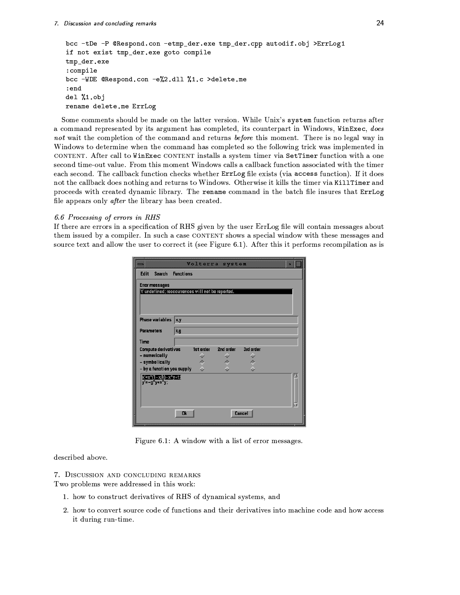```
bcc -tDe -P @Respond.con -etmp_der.exe tmp_der.cpp autodif.obj >ErrLog1
if not exist tmp_der.exe goto compile
tmp_der.exe
:compile
bcc -WDE @Respond.con -e%2.dll %1.c >delete.me
: end
del %1.objrename delete.me ErrLog
```
Some comments should be made on the latter version. While Unix's system function returns after a command represented by its argument has completed, its counterpart in Windows, WinExec, does not wait the completion of the command and returns before this moment. There is no legal way in Windows to determine when the command has completed so the following trick was implemented in CONTENT. After call to WinExec CONTENT installs a system timer via SetTimer function with a one second time-out value. From this moment Windows calls a callback function associated with the timer each second. The callback function checks whether ErrLog file exists (via access function). If it does not the callback does nothing and returns to Windows. Otherwise it kills the timer via KillTimer and proceeds with created dynamic library. The rename command in the batch file insures that ErrLog file appears only *after* the library has been created.

# 6.6 Processing of errors in RHS

If there are errors in a specification of RHS given by the user ErrLog file will contain messages about them issued by a compiler. In such a case CONTENT shows a special window with these messages and source text and allow the user to correct it (see Figure 6.1). After this it performs recompilation as is

|                                                    | Volterra system<br>o                |  |
|----------------------------------------------------|-------------------------------------|--|
| <b>Edit</b><br>Search Functions                    |                                     |  |
| <b>Error messages</b>                              |                                     |  |
| 't' undefined; reoccurrences will not be reported. |                                     |  |
|                                                    |                                     |  |
|                                                    |                                     |  |
| <b>Phase variables</b>                             | lx,y                                |  |
| <b>Parameters</b>                                  | k, q                                |  |
| <b>Time</b>                                        |                                     |  |
| <b>Compute derivatives</b><br>- numerically        | 1st order<br>2nd order<br>3rd order |  |
| - symbolically                                     |                                     |  |
| - by a function you supply                         |                                     |  |
| x'=x*(1-x/k)-x*y+t;[<br>$y'=-q^{*}y+x^{*}y$ ;      |                                     |  |
|                                                    |                                     |  |
|                                                    |                                     |  |
|                                                    | Cancel<br><b>Ok</b>                 |  |
|                                                    |                                     |  |

Figure 6.1: A window with a list of error messages.

described above.

7. DISCUSSION AND CONCLUDING REMARKS Two problems were addressed in this work:

- 1. how to construct derivatives of RHS of dynamical systems, and
- 2. how to convert source code of functions and their derivatives into machine code and how access it during run-time.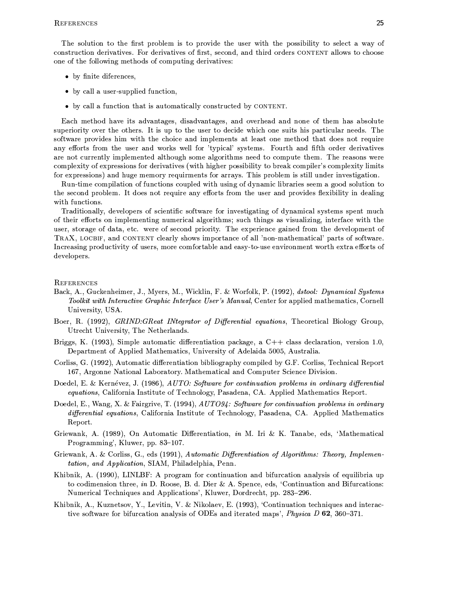The solution to the first problem is to provide the user with the possibility to select a way of construction derivatives. For derivatives of first, second, and third orders CONTENT allows to choose one of the following methods of computing derivatives:

- by finite diferences,
- by call a user-supplied function,
- by call a function that is automatically constructed by CONTENT.

Each method have its advantages, disadvantages, and overhead and none of them has absolute superiority over the others. It is up to the user to decide which one suits his particular needs. The software provides him with the choice and implements at least one method that does not require any efforts from the user and works well for 'typical' systems. Fourth and fifth order derivatives are not currently implemented although some algorithms need to compute them. The reasons were complexity of expressions for derivatives (with higher possibility to break compiler's complexity limits for expressions) and huge memory requirments for arrays. This problem is still under investigation.

Run-time compilation of functions coupled with using of dynamic libraries seem a good solution to the second problem. It does not require any efforts from the user and provides flexibility in dealing with functions.

Traditionally, developers of scientific software for investigating of dynamical systems spent much of their efforts on implementing numerical algorithms; such things as visualizing, interface with the user, storage of data, etc. were of second priority. The experience gained from the development of TRAX, LOCBIF, and CONTENT clearly shows importance of all 'non-mathematical' parts of software. Increasing productivity of users, more comfortable and easy-to-use environment worth extra efforts of developers.

**REFERENCES** 

- Back, A., Guckenheimer, J., Myers, M., Wicklin, F. & Worfolk, P. (1992), dstool: Dynamical Systems Toolkit with Interactive Graphic Interface User's Manual, Center for applied mathematics, Cornell University, USA.
- Boer, R. (1992), GRIND: GReat INtegrator of Differential equations, Theoretical Biology Group, Utrecht University, The Netherlands.
- Briggs, K. (1993), Simple automatic differentiation package, a  $C++$  class declaration, version 1.0, Department of Applied Mathematics, University of Adelaida 5005, Australia.
- Corliss, G. (1992), Automatic differentiation bibliography compiled by G.F. Corliss, Technical Report 167, Argonne National Laboratory. Mathematical and Computer Science Division.
- Doedel, E. & Kernévez, J. (1986), AUTO: Software for continuation problems in ordinary differential equations, California Institute of Technology, Pasadena, CA. Applied Mathematics Report.
- Doedel, E., Wang, X. & Fairgrive, T. (1994), AUTO94: Software for continuation problems in ordinary differential equations, California Institute of Technology, Pasadena, CA. Applied Mathematics Report.
- Griewank, A. (1989), On Automatic Differentiation, in M. Iri & K. Tanabe, eds, 'Mathematical Programming', Kluwer, pp. 83-107.
- Griewank, A. & Corliss, G., eds (1991), Automatic Differentiation of Algorithms: Theory, Implemen*tation, and Application, SIAM, Philadelphia, Penn.*
- Khibnik, A. (1990), LINLBF: A program for continuation and bifurcation analysis of equilibria up to codimension three, in D. Roose, B. d. Dier & A. Spence, eds, 'Continuation and Bifurcations: Numerical Techniques and Applications', Kluwer, Dordrecht, pp. 283-296.
- Khibnik, A., Kuznetsov, Y., Levitin, V. & Nikolaev, E. (1993), 'Continuation techniques and interactive software for bifurcation analysis of ODEs and iterated maps', Physica D 62, 360-371.